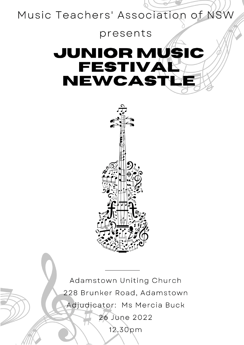

# presents **JUNIOR MUSIC FESTIVA** NEWCAS1



Adamstown Uniting Church 228 Brunker Road, Adamstown Adjudicator: Ms Mercia Buck 26 June 2022 12.30pm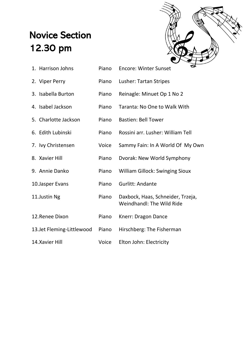### Novice Section 12.30 pm



| 1. Harrison Johns          | Piano | ᆓ<br><b>Encore: Winter Sunset</b>                              |
|----------------------------|-------|----------------------------------------------------------------|
| 2. Viper Perry             | Piano | Lusher: Tartan Stripes                                         |
| 3. Isabella Burton         | Piano | Reinagle: Minuet Op 1 No 2                                     |
| 4. Isabel Jackson          | Piano | Taranta: No One to Walk With                                   |
| 5. Charlotte Jackson       | Piano | <b>Bastien: Bell Tower</b>                                     |
| 6. Edith Lubinski          | Piano | Rossini arr. Lusher: William Tell                              |
| 7. Ivy Christensen         | Voice | Sammy Fain: In A World Of My Own                               |
| 8. Xavier Hill             | Piano | Dvorak: New World Symphony                                     |
| 9. Annie Danko             | Piano | <b>William Gillock: Swinging Sioux</b>                         |
| 10. Jasper Evans           | Piano | Gurlitt: Andante                                               |
| 11.Justin Ng               | Piano | Daxbock, Haas, Schneider, Trzeja,<br>Weindhandl: The Wild Ride |
| 12. Renee Dixon            | Piano | Knerr: Dragon Dance                                            |
| 13. Jet Fleming-Littlewood | Piano | Hirschberg: The Fisherman                                      |
| 14. Xavier Hill            | Voice | Elton John: Electricity                                        |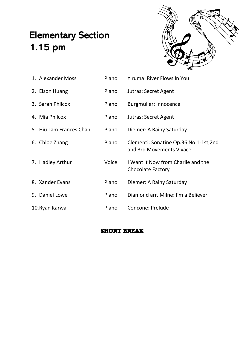### Elementary Section 1.15 pm



| 1. Alexander Moss       | Piano | <b>Yiruma: River Flows In You</b>                                  |
|-------------------------|-------|--------------------------------------------------------------------|
| 2. Elson Huang          | Piano | Jutras: Secret Agent                                               |
| 3. Sarah Philcox        | Piano | <b>Burgmuller: Innocence</b>                                       |
| 4. Mia Philcox          | Piano | Jutras: Secret Agent                                               |
| 5. Hiu Lam Frances Chan | Piano | Diemer: A Rainy Saturday                                           |
| 6. Chloe Zhang          | Piano | Clementi: Sonatine Op.36 No 1-1st, 2nd<br>and 3rd Movements Vivace |
| 7. Hadley Arthur        | Voice | I Want it Now from Charlie and the<br><b>Chocolate Factory</b>     |
| 8. Xander Evans         | Piano | Diemer: A Rainy Saturday                                           |
| 9. Daniel Lowe          | Piano | Diamond arr. Milne: I'm a Believer                                 |
| 10. Ryan Karwal         | Piano | <b>Concone: Prelude</b>                                            |

#### SHORT BREAK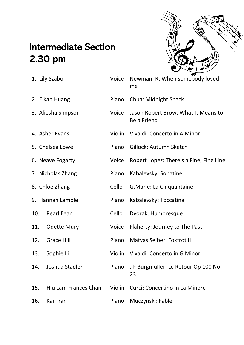### Intermediate Section 2.30 pm



|     | 1. Lily Szabo        | Voice  | Newman, R: When somebody loved<br>me               |
|-----|----------------------|--------|----------------------------------------------------|
|     | 2. Elkan Huang       | Piano  | <b>Chua: Midnight Snack</b>                        |
|     | 3. Aliesha Simpson   | Voice  | Jason Robert Brow: What It Means to<br>Be a Friend |
|     | 4. Asher Evans       | Violin | Vivaldi: Concerto in A Minor                       |
|     | 5. Chelsea Lowe      | Piano  | Gillock: Autumn Sketch                             |
|     | 6. Neave Fogarty     | Voice  | Robert Lopez: There's a Fine, Fine Line            |
|     | 7. Nicholas Zhang    | Piano  | Kabalevsky: Sonatine                               |
|     | 8. Chloe Zhang       | Cello  | G. Marie: La Cinquantaine                          |
|     | 9. Hannah Lamble     | Piano  | Kabalevsky: Toccatina                              |
| 10. | Pearl Egan           | Cello  | Dvorak: Humoresque                                 |
| 11. | <b>Odette Mury</b>   | Voice  | Flaherty: Journey to The Past                      |
| 12. | <b>Grace Hill</b>    | Piano  | <b>Matyas Seiber: Foxtrot II</b>                   |
| 13. | Sophie Li            | Violin | Vivaldi: Concerto in G Minor                       |
| 14. | Joshua Stadler       | Piano  | J F Burgmuller: Le Retour Op 100 No.<br>23         |
| 15. | Hiu Lam Frances Chan | Violin | Curci: Concertino In La Minore                     |
| 16. | Kai Tran             | Piano  | Muczynski: Fable                                   |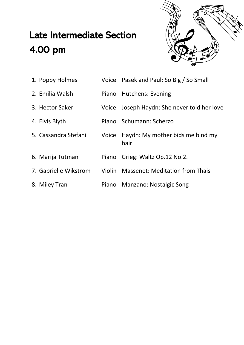## Late Intermediate Section 4.00 pm



| 1. Poppy Holmes       | Voice Pasek and Paul: So Big / So Small        |
|-----------------------|------------------------------------------------|
| 2. Emilia Walsh       | Piano Hutchens: Evening                        |
| 3. Hector Saker       | Voice Joseph Haydn: She never told her love    |
| 4. Elvis Blyth        | Piano Schumann: Scherzo                        |
| 5. Cassandra Stefani  | Voice Haydn: My mother bids me bind my<br>hair |
| 6. Marija Tutman      | Piano Grieg: Waltz Op.12 No.2.                 |
| 7. Gabrielle Wikstrom | Violin Massenet: Meditation from Thais         |
| 8. Miley Tran         | Piano Manzano: Nostalgic Song                  |